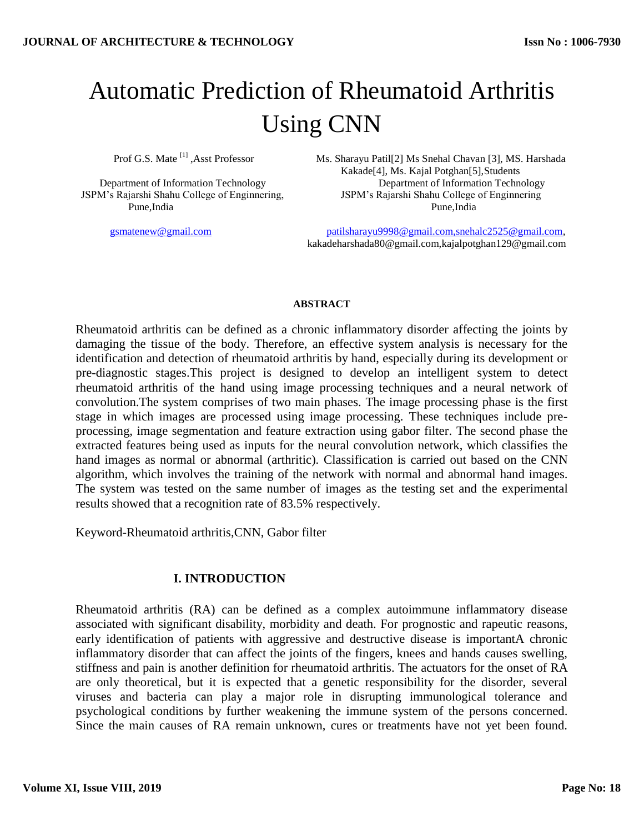# Automatic Prediction of Rheumatoid Arthritis Using CNN

Prof G.S. Mate<sup>[1]</sup>, Asst Professor

Pune,India Pune,India

Ms. Sharayu Patil[2] Ms Snehal Chavan [3], MS. Harshada Kakade[4], Ms. Kajal Potghan[5],Students Department of Information Technology Department of Information Technology JSPM's Rajarshi Shahu College of Enginnering, JSPM's Rajarshi Shahu College of Enginnering

 [gsmatenew@gmail.com](mailto:gsmatenew@gmail.com) [patilsharayu9998@gmail.com,snehalc2525@gmail.com,](mailto:patilsharayu9998@gmail.com,snehalc2525@gmail.com) kakadeharshada80@gmail.com,kajalpotghan129@gmail.com

#### **ABSTRACT**

Rheumatoid arthritis can be defined as a chronic inflammatory disorder affecting the joints by damaging the tissue of the body. Therefore, an effective system analysis is necessary for the identification and detection of rheumatoid arthritis by hand, especially during its development or pre-diagnostic stages.This project is designed to develop an intelligent system to detect rheumatoid arthritis of the hand using image processing techniques and a neural network of convolution.The system comprises of two main phases. The image processing phase is the first stage in which images are processed using image processing. These techniques include preprocessing, image segmentation and feature extraction using gabor filter. The second phase the extracted features being used as inputs for the neural convolution network, which classifies the hand images as normal or abnormal (arthritic). Classification is carried out based on the CNN algorithm, which involves the training of the network with normal and abnormal hand images. The system was tested on the same number of images as the testing set and the experimental results showed that a recognition rate of 83.5% respectively.

Keyword-Rheumatoid arthritis,CNN, Gabor filter

## **I. INTRODUCTION**

Rheumatoid arthritis (RA) can be defined as a complex autoimmune inflammatory disease associated with significant disability, morbidity and death. For prognostic and rapeutic reasons, early identification of patients with aggressive and destructive disease is importantA chronic inflammatory disorder that can affect the joints of the fingers, knees and hands causes swelling, stiffness and pain is another definition for rheumatoid arthritis. The actuators for the onset of RA are only theoretical, but it is expected that a genetic responsibility for the disorder, several viruses and bacteria can play a major role in disrupting immunological tolerance and psychological conditions by further weakening the immune system of the persons concerned. Since the main causes of RA remain unknown, cures or treatments have not yet been found.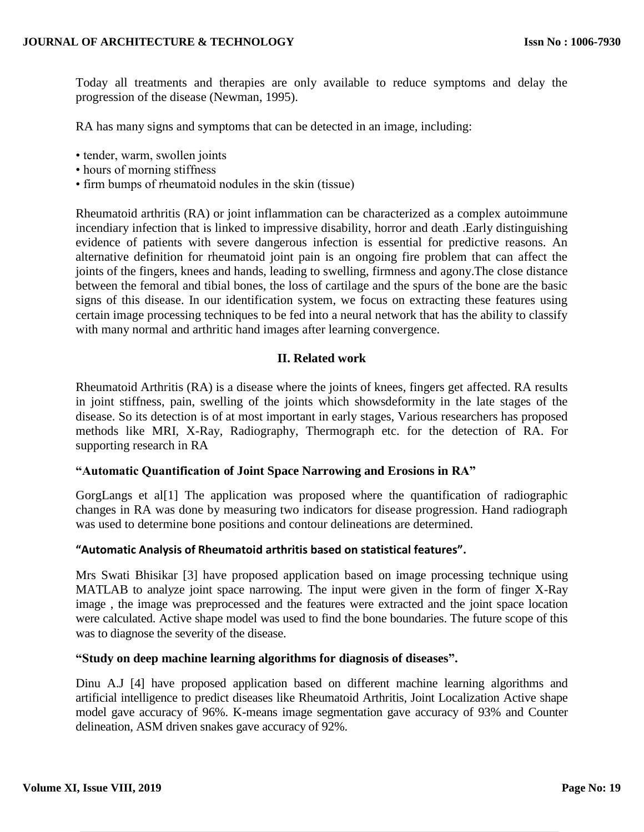Today all treatments and therapies are only available to reduce symptoms and delay the progression of the disease (Newman, 1995).

RA has many signs and symptoms that can be detected in an image, including:

- tender, warm, swollen joints
- hours of morning stiffness
- firm bumps of rheumatoid nodules in the skin (tissue)

Rheumatoid arthritis (RA) or joint inflammation can be characterized as a complex autoimmune incendiary infection that is linked to impressive disability, horror and death .Early distinguishing evidence of patients with severe dangerous infection is essential for predictive reasons. An alternative definition for rheumatoid joint pain is an ongoing fire problem that can affect the joints of the fingers, knees and hands, leading to swelling, firmness and agony.The close distance between the femoral and tibial bones, the loss of cartilage and the spurs of the bone are the basic signs of this disease. In our identification system, we focus on extracting these features using certain image processing techniques to be fed into a neural network that has the ability to classify with many normal and arthritic hand images after learning convergence.

## **II. Related work**

Rheumatoid Arthritis (RA) is a disease where the joints of knees, fingers get affected. RA results in joint stiffness, pain, swelling of the joints which showsdeformity in the late stages of the disease. So its detection is of at most important in early stages, Various researchers has proposed methods like MRI, X-Ray, Radiography, Thermograph etc. for the detection of RA. For supporting research in RA

## **"Automatic Quantification of Joint Space Narrowing and Erosions in RA"**

GorgLangs et al[1] The application was proposed where the quantification of radiographic changes in RA was done by measuring two indicators for disease progression. Hand radiograph was used to determine bone positions and contour delineations are determined.

#### **"Automatic Analysis of Rheumatoid arthritis based on statistical features".**

Mrs Swati Bhisikar [3] have proposed application based on image processing technique using MATLAB to analyze joint space narrowing. The input were given in the form of finger X-Ray image , the image was preprocessed and the features were extracted and the joint space location were calculated. Active shape model was used to find the bone boundaries. The future scope of this was to diagnose the severity of the disease.

#### **"Study on deep machine learning algorithms for diagnosis of diseases".**

Dinu A.J [4] have proposed application based on different machine learning algorithms and artificial intelligence to predict diseases like Rheumatoid Arthritis, Joint Localization Active shape model gave accuracy of 96%. K-means image segmentation gave accuracy of 93% and Counter delineation, ASM driven snakes gave accuracy of 92%.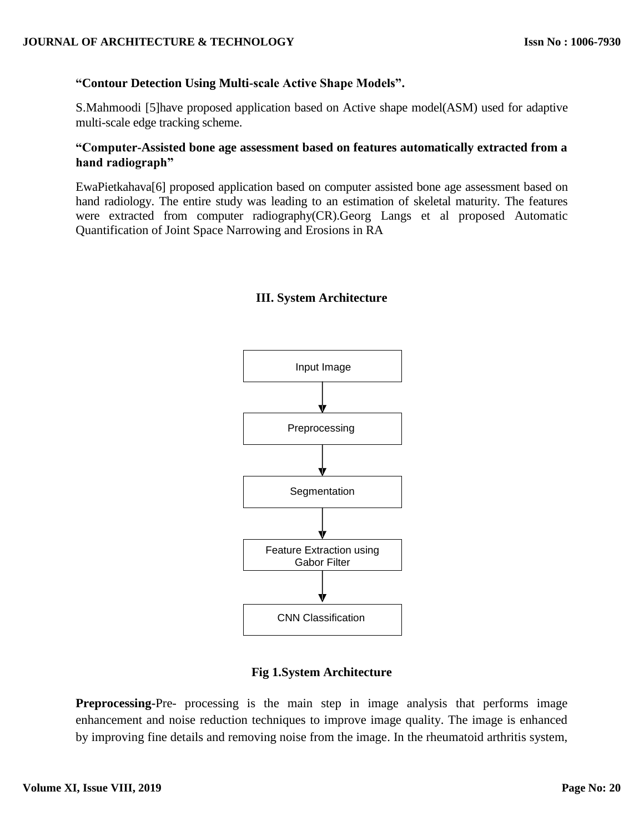# **"Contour Detection Using Multi-scale Active Shape Models".**

S.Mahmoodi [5]have proposed application based on Active shape model(ASM) used for adaptive multi-scale edge tracking scheme.

# **"Computer-Assisted bone age assessment based on features automatically extracted from a hand radiograph"**

EwaPietkahava[6] proposed application based on computer assisted bone age assessment based on hand radiology. The entire study was leading to an estimation of skeletal maturity. The features were extracted from computer radiography(CR).Georg Langs et al proposed Automatic Quantification of Joint Space Narrowing and Erosions in RA

# **III. System Architecture**



## **Fig 1.System Architecture**

**Preprocessing-**Pre- processing is the main step in image analysis that performs image enhancement and noise reduction techniques to improve image quality. The image is enhanced by improving fine details and removing noise from the image. In the rheumatoid arthritis system,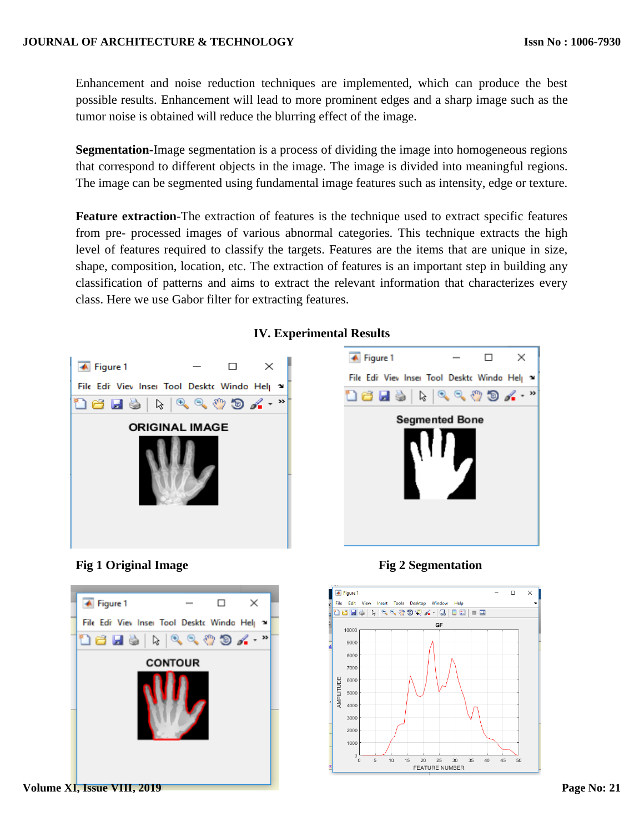Enhancement and noise reduction techniques are implemented, which can produce the best possible results. Enhancement will lead to more prominent edges and a sharp image such as the tumor noise is obtained will reduce the blurring effect of the image.

**Segmentation-**Image segmentation is a process of dividing the image into homogeneous regions that correspond to different objects in the image. The image is divided into meaningful regions. The image can be segmented using fundamental image features such as intensity, edge or texture.

**Feature extraction**-The extraction of features is the technique used to extract specific features from pre- processed images of various abnormal categories. This technique extracts the high level of features required to classify the targets. Features are the items that are unique in size, shape, composition, location, etc. The extraction of features is an important step in building any classification of patterns and aims to extract the relevant information that characterizes every class. Here we use Gabor filter for extracting features.







## **Fig 1 Original Image Fig 2 Segmentation**



## **IV. Experimental Results**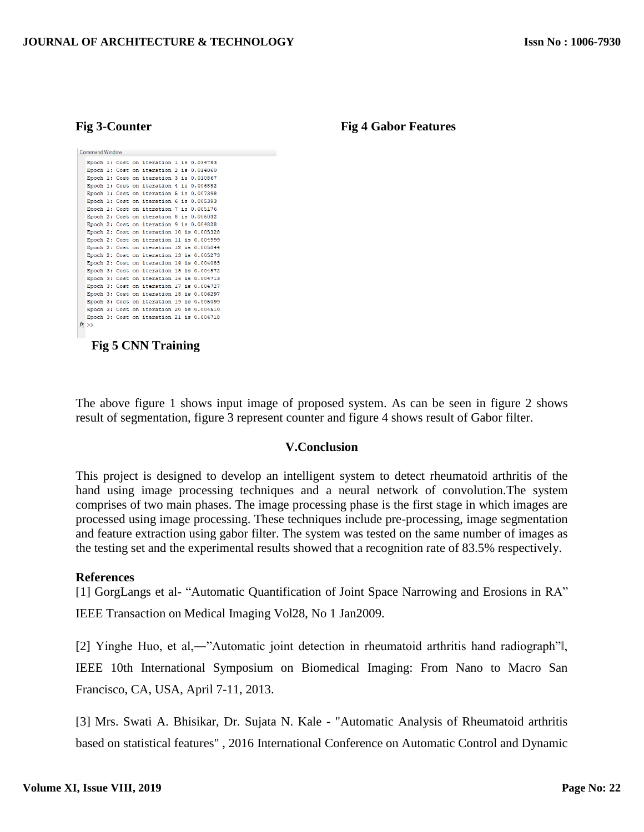| Command Window |                 |  |  |  |                                           |  |  |  |
|----------------|-----------------|--|--|--|-------------------------------------------|--|--|--|
|                |                 |  |  |  | Epoch 1: Cost on iteration 1 is 0.034783  |  |  |  |
|                |                 |  |  |  | Epoch 1: Cost on iteration 2 is 0.014060  |  |  |  |
|                |                 |  |  |  | Epoch 1: Cost on iteration 3 is 0.010867  |  |  |  |
|                |                 |  |  |  | Epoch 1: Cost on iteration 4 is 0.006882  |  |  |  |
|                |                 |  |  |  | Epoch 1: Cost on iteration 5 is 0.007398  |  |  |  |
|                |                 |  |  |  | Epoch 1: Cost on iteration 6 is 0.005393  |  |  |  |
|                |                 |  |  |  | Epoch 1: Cost on iteration 7 is 0.005176  |  |  |  |
|                |                 |  |  |  | Epoch 2: Cost on iteration 8 is 0.006032  |  |  |  |
|                |                 |  |  |  | Epoch 2: Cost on iteration 9 is 0.004828  |  |  |  |
|                |                 |  |  |  | Epoch 2: Cost on iteration 10 is 0.005328 |  |  |  |
|                |                 |  |  |  | Epoch 2: Cost on iteration 11 is 0.004999 |  |  |  |
|                |                 |  |  |  | Epoch 2: Cost on iteration 12 is 0.005044 |  |  |  |
|                |                 |  |  |  | Epoch 2: Cost on iteration 13 is 0.005273 |  |  |  |
|                |                 |  |  |  | Epoch 2: Cost on iteration 14 is 0.004085 |  |  |  |
|                |                 |  |  |  | Epoch 3: Cost on iteration 15 is 0.004572 |  |  |  |
|                |                 |  |  |  | Epoch 3: Cost on iteration 16 is 0.004713 |  |  |  |
|                |                 |  |  |  | Epoch 3: Cost on iteration 17 is 0.004727 |  |  |  |
|                |                 |  |  |  | Epoch 3: Cost on iteration 18 is 0.006297 |  |  |  |
|                |                 |  |  |  | Epoch 3: Cost on iteration 19 is 0.005099 |  |  |  |
|                |                 |  |  |  | Epoch 3: Cost on iteration 20 is 0.004510 |  |  |  |
|                |                 |  |  |  | Epoch 3: Cost on iteration 21 is 0.004718 |  |  |  |
|                | $x \rightarrow$ |  |  |  |                                           |  |  |  |
|                |                 |  |  |  |                                           |  |  |  |

 **Fig 5 CNN Training**

The above figure 1 shows input image of proposed system. As can be seen in figure 2 shows result of segmentation, figure 3 represent counter and figure 4 shows result of Gabor filter.

#### **V.Conclusion**

This project is designed to develop an intelligent system to detect rheumatoid arthritis of the hand using image processing techniques and a neural network of convolution.The system comprises of two main phases. The image processing phase is the first stage in which images are processed using image processing. These techniques include pre-processing, image segmentation and feature extraction using gabor filter. The system was tested on the same number of images as the testing set and the experimental results showed that a recognition rate of 83.5% respectively.

#### **References**

[1] GorgLangs et al- "Automatic Quantification of Joint Space Narrowing and Erosions in RA" IEEE Transaction on Medical Imaging Vol28, No 1 Jan2009.

[2] Yinghe Huo, et al,―"Automatic joint detection in rheumatoid arthritis hand radiograph"‖, IEEE 10th International Symposium on Biomedical Imaging: From Nano to Macro San Francisco, CA, USA, April 7-11, 2013.

[3] Mrs. Swati A. Bhisikar, Dr. Sujata N. Kale - "Automatic Analysis of Rheumatoid arthritis based on statistical features" , 2016 International Conference on Automatic Control and Dynamic